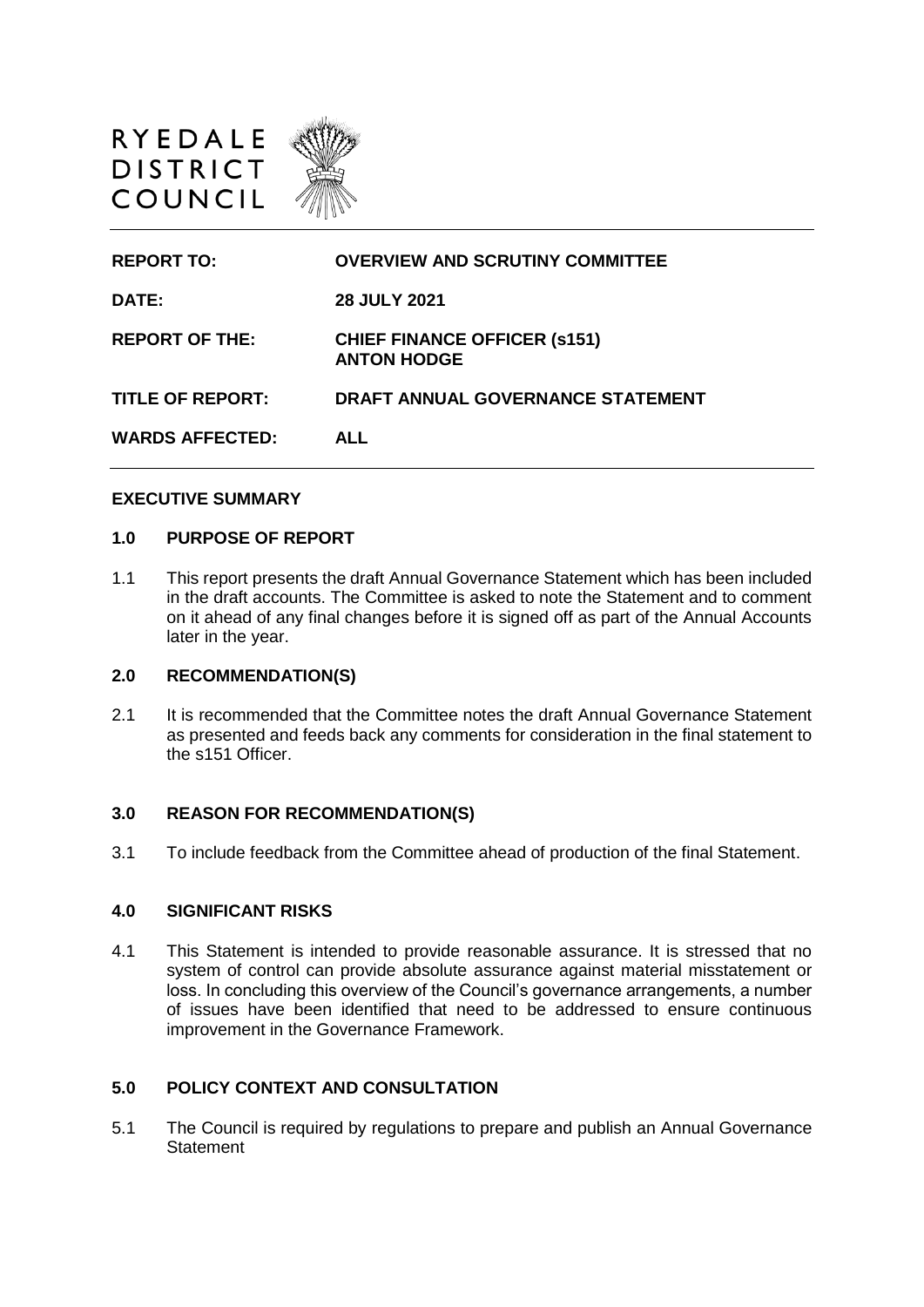

| <b>OVERVIEW AND SCRUTINY COMMITTEE</b>                    |
|-----------------------------------------------------------|
| <b>28 JULY 2021</b>                                       |
| <b>CHIEF FINANCE OFFICER (s151)</b><br><b>ANTON HODGE</b> |
| DRAFT ANNUAL GOVERNANCE STATEMENT                         |
| <b>ALL</b>                                                |
|                                                           |

#### **EXECUTIVE SUMMARY**

#### **1.0 PURPOSE OF REPORT**

1.1 This report presents the draft Annual Governance Statement which has been included in the draft accounts. The Committee is asked to note the Statement and to comment on it ahead of any final changes before it is signed off as part of the Annual Accounts later in the year.

#### **2.0 RECOMMENDATION(S)**

2.1 It is recommended that the Committee notes the draft Annual Governance Statement as presented and feeds back any comments for consideration in the final statement to the s151 Officer.

#### **3.0 REASON FOR RECOMMENDATION(S)**

3.1 To include feedback from the Committee ahead of production of the final Statement.

#### **4.0 SIGNIFICANT RISKS**

4.1 This Statement is intended to provide reasonable assurance. It is stressed that no system of control can provide absolute assurance against material misstatement or loss. In concluding this overview of the Council's governance arrangements, a number of issues have been identified that need to be addressed to ensure continuous improvement in the Governance Framework.

# **5.0 POLICY CONTEXT AND CONSULTATION**

5.1 The Council is required by regulations to prepare and publish an Annual Governance **Statement**